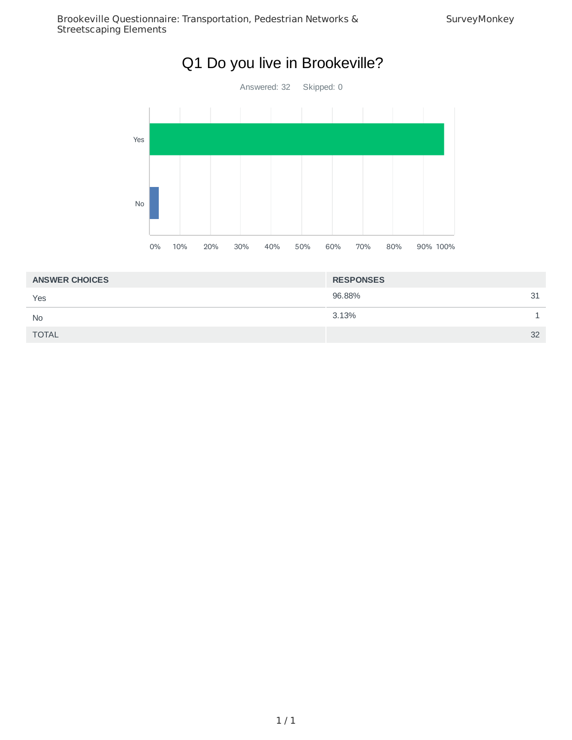

| <b>ANSWER CHOICES</b> | <b>RESPONSES</b> |    |
|-----------------------|------------------|----|
| Yes                   | 96.88%           | 31 |
| <b>No</b>             | 3.13%            |    |
| <b>TOTAL</b>          |                  | 32 |
|                       |                  |    |

1 / 1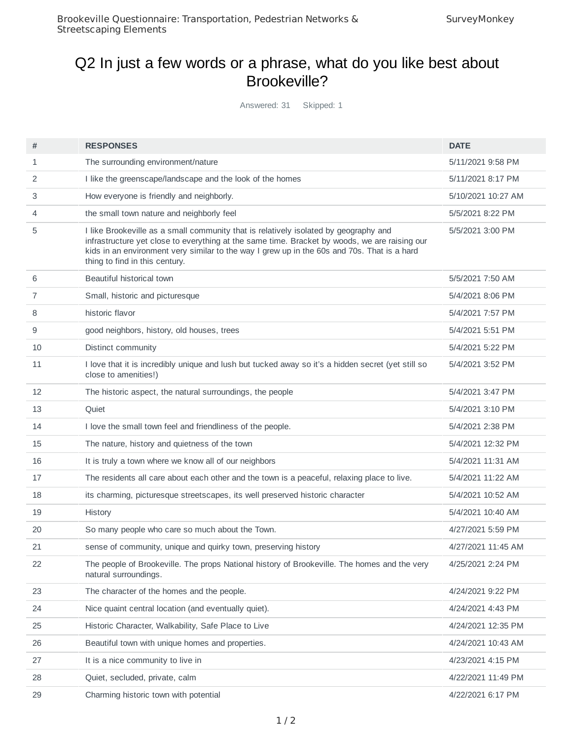### Q2 In just a few words or a phrase, what do you like best about Brookeville?

Answered: 31 Skipped: 1

| #  | <b>RESPONSES</b>                                                                                                                                                                                                               | <b>DATE</b>        |
|----|--------------------------------------------------------------------------------------------------------------------------------------------------------------------------------------------------------------------------------|--------------------|
| 1  | The surrounding environment/nature                                                                                                                                                                                             | 5/11/2021 9:58 PM  |
| 2  | I like the greenscape/landscape and the look of the homes                                                                                                                                                                      | 5/11/2021 8:17 PM  |
| 3  | How everyone is friendly and neighborly.                                                                                                                                                                                       | 5/10/2021 10:27 AM |
| 4  | the small town nature and neighborly feel                                                                                                                                                                                      | 5/5/2021 8:22 PM   |
| 5  | I like Brookeville as a small community that is relatively isolated by geography and                                                                                                                                           | 5/5/2021 3:00 PM   |
|    | infrastructure yet close to everything at the same time. Bracket by woods, we are raising our<br>kids in an environment very similar to the way I grew up in the 60s and 70s. That is a hard<br>thing to find in this century. |                    |
| 6  | Beautiful historical town                                                                                                                                                                                                      | 5/5/2021 7:50 AM   |
| 7  | Small, historic and picturesque                                                                                                                                                                                                | 5/4/2021 8:06 PM   |
| 8  | historic flavor                                                                                                                                                                                                                | 5/4/2021 7:57 PM   |
| 9  | good neighbors, history, old houses, trees                                                                                                                                                                                     | 5/4/2021 5:51 PM   |
| 10 | Distinct community                                                                                                                                                                                                             | 5/4/2021 5:22 PM   |
| 11 | I love that it is incredibly unique and lush but tucked away so it's a hidden secret (yet still so<br>close to amenities!)                                                                                                     | 5/4/2021 3:52 PM   |
| 12 | The historic aspect, the natural surroundings, the people                                                                                                                                                                      | 5/4/2021 3:47 PM   |
| 13 | Quiet                                                                                                                                                                                                                          | 5/4/2021 3:10 PM   |
| 14 | I love the small town feel and friendliness of the people.                                                                                                                                                                     | 5/4/2021 2:38 PM   |
| 15 | The nature, history and quietness of the town                                                                                                                                                                                  | 5/4/2021 12:32 PM  |
| 16 | It is truly a town where we know all of our neighbors                                                                                                                                                                          | 5/4/2021 11:31 AM  |
| 17 | The residents all care about each other and the town is a peaceful, relaxing place to live.                                                                                                                                    | 5/4/2021 11:22 AM  |
| 18 | its charming, picturesque streetscapes, its well preserved historic character                                                                                                                                                  | 5/4/2021 10:52 AM  |
| 19 | History                                                                                                                                                                                                                        | 5/4/2021 10:40 AM  |
| 20 | So many people who care so much about the Town.                                                                                                                                                                                | 4/27/2021 5:59 PM  |
| 21 | sense of community, unique and quirky town, preserving history                                                                                                                                                                 | 4/27/2021 11:45 AM |
| 22 | The people of Brookeville. The props National history of Brookeville. The homes and the very<br>natural surroundings.                                                                                                          | 4/25/2021 2:24 PM  |
| 23 | The character of the homes and the people.                                                                                                                                                                                     | 4/24/2021 9:22 PM  |
| 24 | Nice quaint central location (and eventually quiet).                                                                                                                                                                           | 4/24/2021 4:43 PM  |
| 25 | Historic Character, Walkability, Safe Place to Live                                                                                                                                                                            | 4/24/2021 12:35 PM |
| 26 | Beautiful town with unique homes and properties.                                                                                                                                                                               | 4/24/2021 10:43 AM |
| 27 | It is a nice community to live in                                                                                                                                                                                              | 4/23/2021 4:15 PM  |
| 28 | Quiet, secluded, private, calm                                                                                                                                                                                                 | 4/22/2021 11:49 PM |
| 29 | Charming historic town with potential                                                                                                                                                                                          | 4/22/2021 6:17 PM  |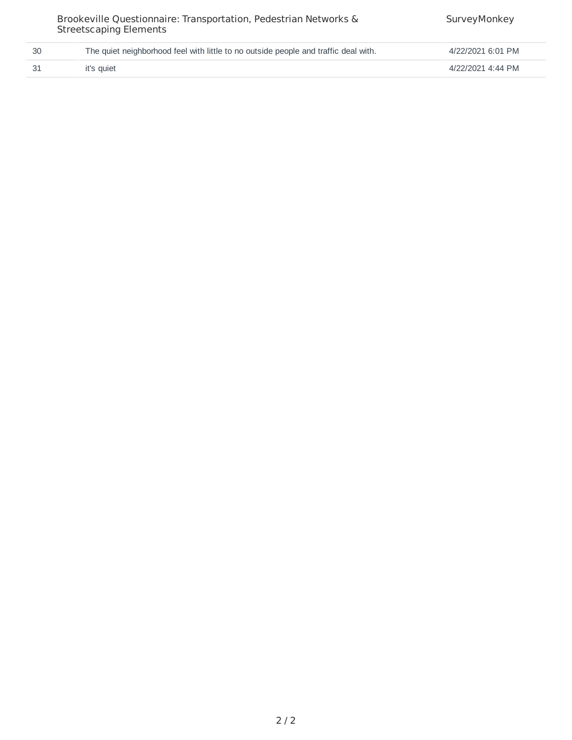|    | Brookeville Questionnaire: Transportation, Pedestrian Networks &<br><b>Streetscaping Elements</b> | SurveyMonkey      |
|----|---------------------------------------------------------------------------------------------------|-------------------|
| 30 | The quiet neighborhood feel with little to no outside people and traffic deal with.               | 4/22/2021 6:01 PM |
| 31 | it's quiet                                                                                        | 4/22/2021 4:44 PM |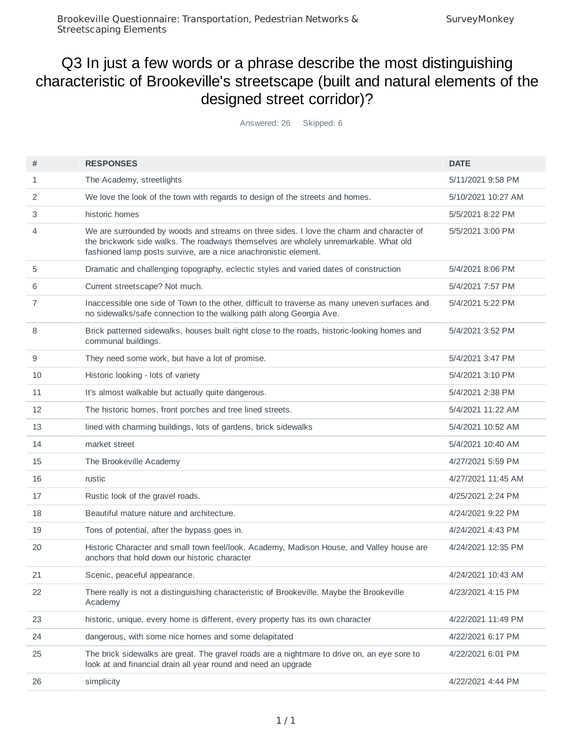# Q3 In just a few words or a phrase describe the most distinguishing characteristic of Brookeville's streetscape (built and natural elements of the designed street corridor)?

Answered: 26 Skipped: 6

| #  | <b>RESPONSES</b>                                                                                                                                                                                                                                    | <b>DATE</b>        |
|----|-----------------------------------------------------------------------------------------------------------------------------------------------------------------------------------------------------------------------------------------------------|--------------------|
| 1  | The Academy, streetlights                                                                                                                                                                                                                           | 5/11/2021 9:58 PM  |
| 2  | We love the look of the town with regards to design of the streets and homes.                                                                                                                                                                       | 5/10/2021 10:27 AM |
| 3  | historic homes                                                                                                                                                                                                                                      | 5/5/2021 8:22 PM   |
| 4  | We are surrounded by woods and streams on three sides. I love the charm and character of<br>the brickwork side walks. The roadways themselves are wholely unremarkable. What old<br>fashioned lamp posts survive, are a nice anachronistic element. | 5/5/2021 3:00 PM   |
| 5  | Dramatic and challenging topography, eclectic styles and varied dates of construction                                                                                                                                                               | 5/4/2021 8:06 PM   |
| 6  | Current streetscape? Not much.                                                                                                                                                                                                                      | 5/4/2021 7:57 PM   |
| 7  | Inaccessible one side of Town to the other, difficult to traverse as many uneven surfaces and<br>no sidewalks/safe connection to the walking path along Georgia Ave.                                                                                | 5/4/2021 5:22 PM   |
| 8  | Brick patterned sidewalks, houses built right close to the roads, historic-looking homes and<br>communal buildings.                                                                                                                                 | 5/4/2021 3:52 PM   |
| 9  | They need some work, but have a lot of promise.                                                                                                                                                                                                     | 5/4/2021 3:47 PM   |
| 10 | Historic looking - lots of variety                                                                                                                                                                                                                  | 5/4/2021 3:10 PM   |
| 11 | It's almost walkable but actually quite dangerous.                                                                                                                                                                                                  | 5/4/2021 2:38 PM   |
| 12 | The historic homes, front porches and tree lined streets.                                                                                                                                                                                           | 5/4/2021 11:22 AM  |
| 13 | lined with charming buildings, lots of gardens, brick sidewalks                                                                                                                                                                                     | 5/4/2021 10:52 AM  |
| 14 | market street                                                                                                                                                                                                                                       | 5/4/2021 10:40 AM  |
| 15 | The Brookeville Academy                                                                                                                                                                                                                             | 4/27/2021 5:59 PM  |
| 16 | rustic                                                                                                                                                                                                                                              | 4/27/2021 11:45 AM |
| 17 | Rustic look of the gravel roads.                                                                                                                                                                                                                    | 4/25/2021 2:24 PM  |
| 18 | Beautiful mature nature and architecture.                                                                                                                                                                                                           | 4/24/2021 9:22 PM  |
| 19 | Tons of potential, after the bypass goes in.                                                                                                                                                                                                        | 4/24/2021 4:43 PM  |
| 20 | Historic Character and small town feel/look. Academy, Madison House, and Valley house are<br>anchors that hold down our historic character                                                                                                          | 4/24/2021 12:35 PM |
| 21 | Scenic, peaceful appearance.                                                                                                                                                                                                                        | 4/24/2021 10:43 AM |
| 22 | There really is not a distinguishing characteristic of Brookeville. Maybe the Brookeville<br>Academy                                                                                                                                                | 4/23/2021 4:15 PM  |
| 23 | historic, unique, every home is different, every property has its own character                                                                                                                                                                     | 4/22/2021 11:49 PM |
| 24 | dangerous, with some nice homes and some delapitated                                                                                                                                                                                                | 4/22/2021 6:17 PM  |
| 25 | The brick sidewalks are great. The gravel roads are a nightmare to drive on, an eye sore to<br>look at and financial drain all year round and need an upgrade                                                                                       | 4/22/2021 6:01 PM  |
| 26 | simplicity                                                                                                                                                                                                                                          | 4/22/2021 4:44 PM  |
|    |                                                                                                                                                                                                                                                     |                    |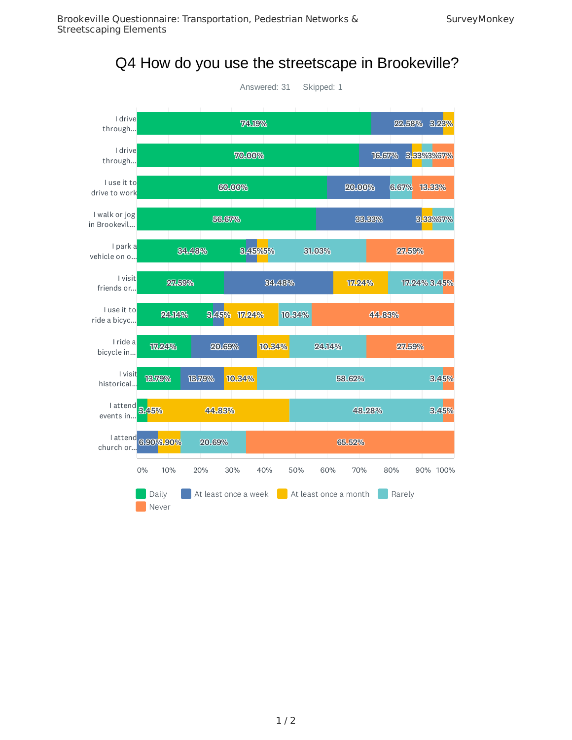

Q4 How do you use the streetscape in Brookeville?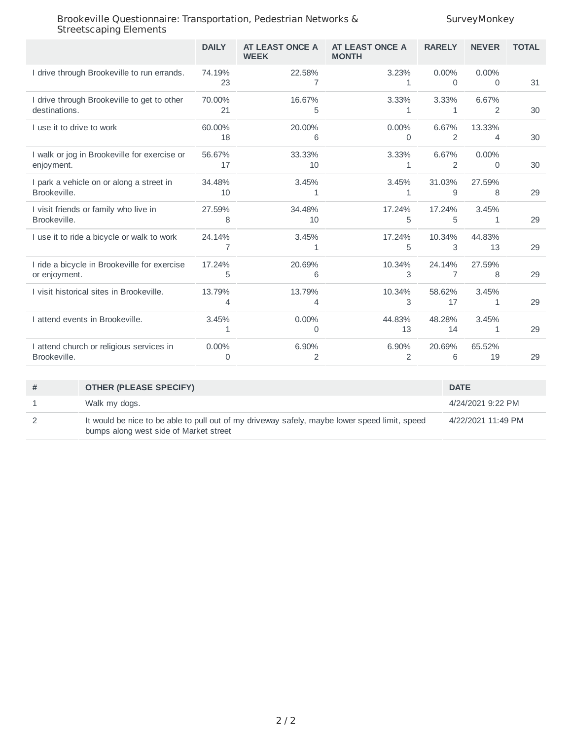|                                                               | <b>DAILY</b>  | AT LEAST ONCE A<br><b>WEEK</b> | AT LEAST ONCE A<br><b>MONTH</b> | <b>RARELY</b>            | <b>NEVER</b>  | <b>TOTAL</b> |
|---------------------------------------------------------------|---------------|--------------------------------|---------------------------------|--------------------------|---------------|--------------|
| I drive through Brookeville to run errands.                   | 74.19%<br>23  | 22.58%<br>7                    | 3.23%<br>1                      | $0.00\%$<br>0            | $0.00\%$<br>0 | 31           |
| I drive through Brookeville to get to other<br>destinations.  | 70.00%<br>21  | 16.67%<br>5                    | 3.33%<br>$\mathbf{1}$           | 3.33%<br>1               | 6.67%<br>2    | 30           |
| I use it to drive to work                                     | 60.00%<br>18  | 20.00%<br>6                    | $0.00\%$<br>$\Omega$            | 6.67%<br>2               | 13.33%<br>4   | 30           |
| I walk or jog in Brookeville for exercise or<br>enjoyment.    | 56.67%<br>17  | 33.33%<br>10                   | 3.33%<br>1                      | 6.67%<br>2               | 0.00%<br>0    | 30           |
| I park a vehicle on or along a street in<br>Brookeville.      | 34.48%<br>10  | 3.45%<br>1                     | 3.45%<br>1                      | 31.03%<br>9              | 27.59%<br>8   | 29           |
| I visit friends or family who live in<br>Brookeville.         | 27.59%<br>8   | 34.48%<br>10                   | 17.24%<br>5                     | 17.24%<br>5              | 3.45%<br>1    | 29           |
| I use it to ride a bicycle or walk to work                    | 24.14%<br>7   | 3.45%<br>1                     | 17.24%<br>5                     | 10.34%<br>3              | 44.83%<br>13  | 29           |
| I ride a bicycle in Brookeville for exercise<br>or enjoyment. | 17.24%<br>5   | 20.69%<br>6                    | 10.34%<br>3                     | 24.14%<br>$\overline{7}$ | 27.59%<br>8   | 29           |
| I visit historical sites in Brookeville.                      | 13.79%<br>4   | 13.79%<br>$\overline{4}$       | 10.34%<br>3                     | 58.62%<br>17             | 3.45%<br>1    | 29           |
| I attend events in Brookeville.                               | 3.45%<br>1    | $0.00\%$<br>0                  | 44.83%<br>13                    | 48.28%<br>14             | 3.45%<br>1    | 29           |
| I attend church or religious services in<br>Brookeville.      | $0.00\%$<br>0 | 6.90%<br>2                     | 6.90%<br>$\overline{2}$         | 20.69%<br>6              | 65.52%<br>19  | 29           |
|                                                               |               |                                |                                 |                          |               |              |

| # | <b>OTHER (PLEASE SPECIFY)</b>                                                                                                           | <b>DATE</b>        |
|---|-----------------------------------------------------------------------------------------------------------------------------------------|--------------------|
|   | Walk my dogs.                                                                                                                           | 4/24/2021 9:22 PM  |
|   | It would be nice to be able to pull out of my driveway safely, maybe lower speed limit, speed<br>bumps along west side of Market street | 4/22/2021 11:49 PM |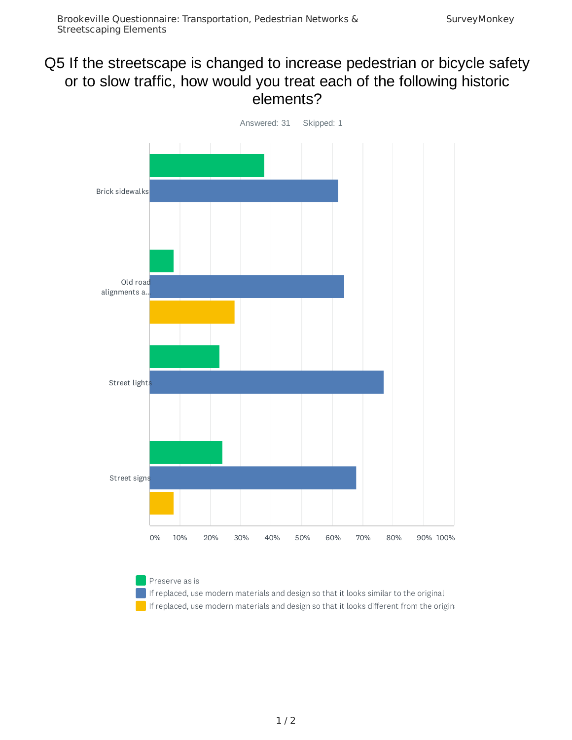### Q5 If the streetscape is changed to increase pedestrian or bicycle safety or to slow traffic, how would you treat each of the following historic elements?



#### Preserve as is

If replaced, use modern materials and design so that it looks similar to the original If replaced, use modern materials and design so that it looks different from the origina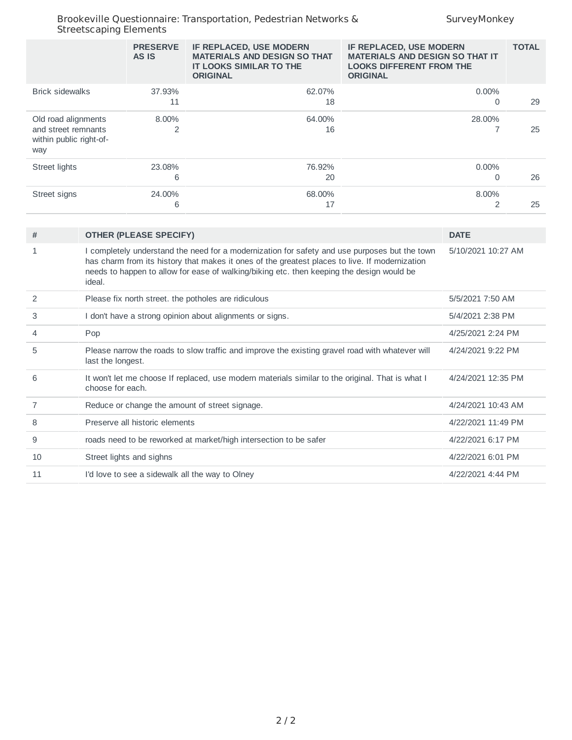|                                                                              | <b>PRESERVE</b><br>AS IS | IF REPLACED, USE MODERN<br><b>MATERIALS AND DESIGN SO THAT</b><br><b>IT LOOKS SIMILAR TO THE</b><br><b>ORIGINAL</b> | IF REPLACED, USE MODERN<br><b>MATERIALS AND DESIGN SO THAT IT</b><br><b>LOOKS DIFFERENT FROM THE</b><br><b>ORIGINAL</b> | <b>TOTAL</b> |
|------------------------------------------------------------------------------|--------------------------|---------------------------------------------------------------------------------------------------------------------|-------------------------------------------------------------------------------------------------------------------------|--------------|
| <b>Brick sidewalks</b>                                                       | 37.93%<br>11             | 62.07%<br>18                                                                                                        | $0.00\%$<br>0                                                                                                           | 29           |
| Old road alignments<br>and street remnants<br>within public right-of-<br>way | 8.00%                    | 64.00%<br>16                                                                                                        | 28.00%                                                                                                                  | 25           |
| Street lights                                                                | 23.08%<br>6              | 76.92%<br>20                                                                                                        | $0.00\%$<br>0                                                                                                           | 26           |
| Street signs                                                                 | 24.00%<br>6              | 68.00%<br>17                                                                                                        | 8.00%                                                                                                                   | 25           |

| #  | <b>OTHER (PLEASE SPECIFY)</b>                                                                                                                                                                                                                                                                          | <b>DATE</b>        |
|----|--------------------------------------------------------------------------------------------------------------------------------------------------------------------------------------------------------------------------------------------------------------------------------------------------------|--------------------|
| 1  | I completely understand the need for a modernization for safety and use purposes but the town<br>has charm from its history that makes it ones of the greatest places to live. If modernization<br>needs to happen to allow for ease of walking/biking etc. then keeping the design would be<br>ideal. | 5/10/2021 10:27 AM |
| 2  | Please fix north street, the potholes are ridiculous                                                                                                                                                                                                                                                   | 5/5/2021 7:50 AM   |
| 3  | I don't have a strong opinion about alignments or signs.                                                                                                                                                                                                                                               | 5/4/2021 2:38 PM   |
| 4  | Pop                                                                                                                                                                                                                                                                                                    | 4/25/2021 2:24 PM  |
| 5  | Please narrow the roads to slow traffic and improve the existing gravel road with whatever will<br>last the longest.                                                                                                                                                                                   | 4/24/2021 9:22 PM  |
| 6  | It won't let me choose If replaced, use modern materials similar to the original. That is what I<br>choose for each.                                                                                                                                                                                   | 4/24/2021 12:35 PM |
| 7  | Reduce or change the amount of street signage.                                                                                                                                                                                                                                                         | 4/24/2021 10:43 AM |
| 8  | Preserve all historic elements                                                                                                                                                                                                                                                                         | 4/22/2021 11:49 PM |
| 9  | roads need to be reworked at market/high intersection to be safer                                                                                                                                                                                                                                      | 4/22/2021 6:17 PM  |
| 10 | Street lights and sighns                                                                                                                                                                                                                                                                               | 4/22/2021 6:01 PM  |
| 11 | I'd love to see a sidewalk all the way to Olney                                                                                                                                                                                                                                                        | 4/22/2021 4:44 PM  |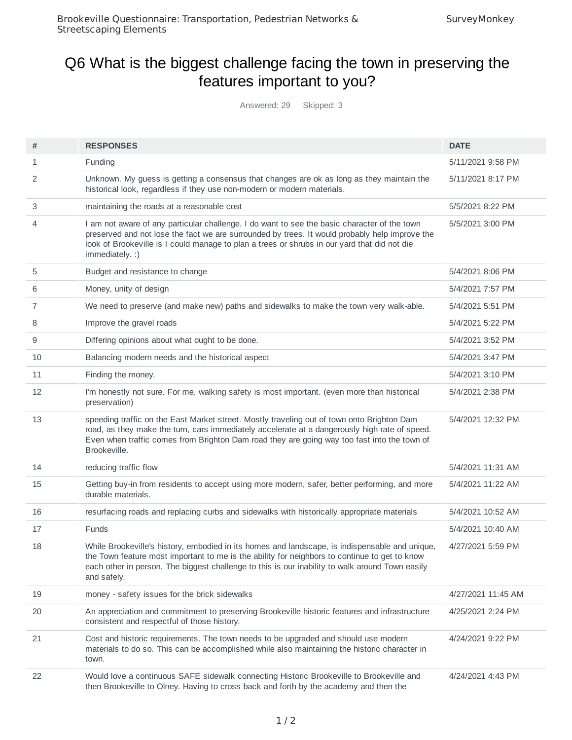# Q6 What is the biggest challenge facing the town in preserving the features important to you?

Answered: 29 Skipped: 3

| #  | <b>RESPONSES</b>                                                                                                                                                                                                                                                                                                  | <b>DATE</b>        |
|----|-------------------------------------------------------------------------------------------------------------------------------------------------------------------------------------------------------------------------------------------------------------------------------------------------------------------|--------------------|
| 1  | Funding                                                                                                                                                                                                                                                                                                           | 5/11/2021 9:58 PM  |
| 2  | Unknown. My guess is getting a consensus that changes are ok as long as they maintain the<br>historical look, regardless if they use non-modern or modern materials.                                                                                                                                              | 5/11/2021 8:17 PM  |
| 3  | maintaining the roads at a reasonable cost                                                                                                                                                                                                                                                                        | 5/5/2021 8:22 PM   |
| 4  | I am not aware of any particular challenge. I do want to see the basic character of the town<br>preserved and not lose the fact we are surrounded by trees. It would probably help improve the<br>look of Brookeville is I could manage to plan a trees or shrubs in our yard that did not die<br>immediately. :) | 5/5/2021 3:00 PM   |
| 5  | Budget and resistance to change                                                                                                                                                                                                                                                                                   | 5/4/2021 8:06 PM   |
| 6  | Money, unity of design                                                                                                                                                                                                                                                                                            | 5/4/2021 7:57 PM   |
| 7  | We need to preserve (and make new) paths and sidewalks to make the town very walk-able.                                                                                                                                                                                                                           | 5/4/2021 5:51 PM   |
| 8  | Improve the gravel roads                                                                                                                                                                                                                                                                                          | 5/4/2021 5:22 PM   |
| 9  | Differing opinions about what ought to be done.                                                                                                                                                                                                                                                                   | 5/4/2021 3:52 PM   |
| 10 | Balancing modern needs and the historical aspect                                                                                                                                                                                                                                                                  | 5/4/2021 3:47 PM   |
| 11 | Finding the money.                                                                                                                                                                                                                                                                                                | 5/4/2021 3:10 PM   |
| 12 | I'm honestly not sure. For me, walking safety is most important. (even more than historical<br>preservation)                                                                                                                                                                                                      | 5/4/2021 2:38 PM   |
| 13 | speeding traffic on the East Market street. Mostly traveling out of town onto Brighton Dam<br>road, as they make the turn, cars immediately accelerate at a dangerously high rate of speed.<br>Even when traffic comes from Brighton Dam road they are going way too fast into the town of<br>Brookeville.        | 5/4/2021 12:32 PM  |
| 14 | reducing traffic flow                                                                                                                                                                                                                                                                                             | 5/4/2021 11:31 AM  |
| 15 | Getting buy-in from residents to accept using more modern, safer, better performing, and more<br>durable materials.                                                                                                                                                                                               | 5/4/2021 11:22 AM  |
| 16 | resurfacing roads and replacing curbs and sidewalks with historically appropriate materials                                                                                                                                                                                                                       | 5/4/2021 10:52 AM  |
| 17 | <b>Funds</b>                                                                                                                                                                                                                                                                                                      | 5/4/2021 10:40 AM  |
| 18 | While Brookeville's history, embodied in its homes and landscape, is indispensable and unique,<br>the Town feature most important to me is the ability for neighbors to continue to get to know<br>each other in person. The biggest challenge to this is our inability to walk around Town easily<br>and safely. | 4/27/2021 5:59 PM  |
| 19 | money - safety issues for the brick sidewalks                                                                                                                                                                                                                                                                     | 4/27/2021 11:45 AM |
| 20 | An appreciation and commitment to preserving Brookeville historic features and infrastructure<br>consistent and respectful of those history.                                                                                                                                                                      | 4/25/2021 2:24 PM  |
| 21 | Cost and historic requirements. The town needs to be upgraded and should use modern<br>materials to do so. This can be accomplished while also maintaining the historic character in<br>town.                                                                                                                     | 4/24/2021 9:22 PM  |
| 22 | Would love a continuous SAFE sidewalk connecting Historic Brookeville to Brookeville and<br>then Brookeville to Olney. Having to cross back and forth by the academy and then the                                                                                                                                 | 4/24/2021 4:43 PM  |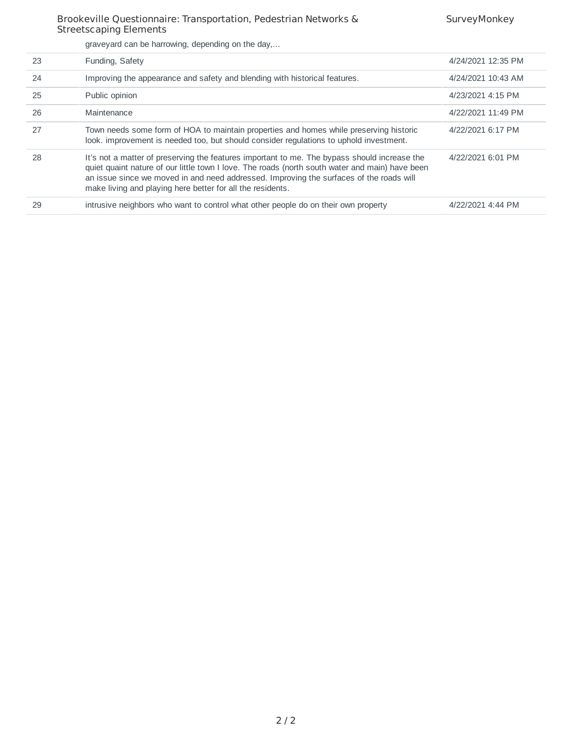|  |  | graveyard can be harrowing, depending on the day, |  |  |
|--|--|---------------------------------------------------|--|--|

| 23 | Funding, Safety                                                                                                                                                                                                                                                                                                                                          | 4/24/2021 12:35 PM |
|----|----------------------------------------------------------------------------------------------------------------------------------------------------------------------------------------------------------------------------------------------------------------------------------------------------------------------------------------------------------|--------------------|
| 24 | Improving the appearance and safety and blending with historical features.                                                                                                                                                                                                                                                                               | 4/24/2021 10:43 AM |
| 25 | Public opinion                                                                                                                                                                                                                                                                                                                                           | 4/23/2021 4:15 PM  |
| 26 | Maintenance                                                                                                                                                                                                                                                                                                                                              | 4/22/2021 11:49 PM |
| 27 | Town needs some form of HOA to maintain properties and homes while preserving historic<br>look, improvement is needed too, but should consider regulations to uphold investment.                                                                                                                                                                         | 4/22/2021 6:17 PM  |
| 28 | It's not a matter of preserving the features important to me. The bypass should increase the<br>quiet quaint nature of our little town I love. The roads (north south water and main) have been<br>an issue since we moved in and need addressed. Improving the surfaces of the roads will<br>make living and playing here better for all the residents. | 4/22/2021 6:01 PM  |
| 29 | intrusive neighbors who want to control what other people do on their own property                                                                                                                                                                                                                                                                       | 4/22/2021 4:44 PM  |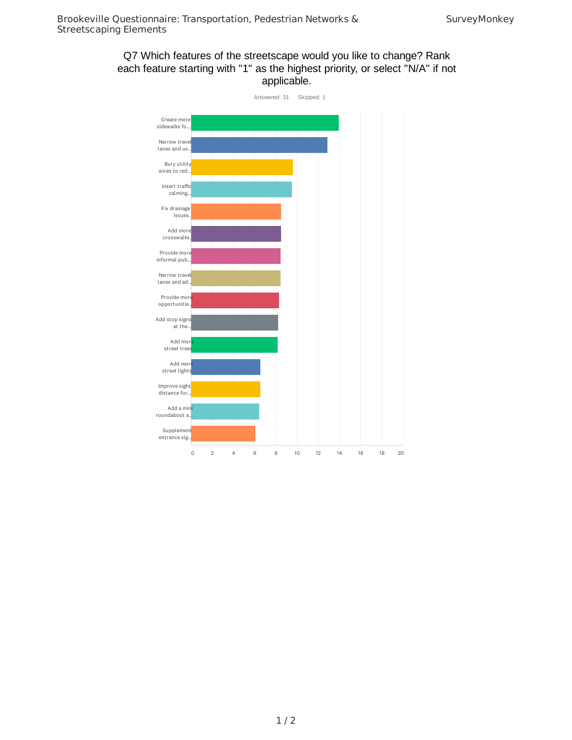### Q7 Which features of the streetscape would you like to change? Rank each feature starting with "1" as the highest priority, or select "N/A" if not applicable.

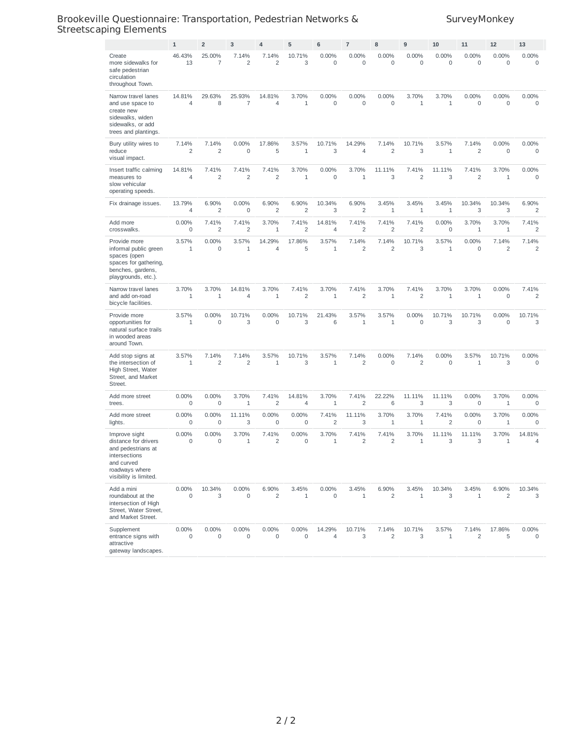|                                                                                                                                        | $\mathbf 1$              | $\overline{2}$           | 3                        | $\overline{4}$           | 5                        | 6                            | $\overline{7}$           | 8                            | 9                       | 10                           | 11                      | 12                      | 13                      |
|----------------------------------------------------------------------------------------------------------------------------------------|--------------------------|--------------------------|--------------------------|--------------------------|--------------------------|------------------------------|--------------------------|------------------------------|-------------------------|------------------------------|-------------------------|-------------------------|-------------------------|
| Create<br>more sidewalks for<br>safe pedestrian<br>circulation<br>throughout Town.                                                     | 46.43%<br>13             | 25.00%<br>$\overline{7}$ | 7.14%<br>$\overline{c}$  | 7.14%<br>$\overline{c}$  | 10.71%<br>3              | 0.00%<br>0                   | 0.00%<br>$\mathbf 0$     | 0.00%<br>$\mathsf{O}\xspace$ | 0.00%<br>$\mathbf 0$    | 0.00%<br>$\mathbf 0$         | 0.00%<br>$\mathbf 0$    | 0.00%<br>$\mathbf 0$    | 0.00%<br>$\mathbf 0$    |
| Narrow travel lanes<br>and use space to<br>create new<br>sidewalks, widen<br>sidewalks, or add<br>trees and plantings.                 | 14.81%<br>$\overline{4}$ | 29.63%<br>8              | 25.93%<br>$\overline{7}$ | 14.81%<br>$\overline{4}$ | 3.70%<br>$\mathbf{1}$    | 0.00%<br>0                   | 0.00%<br>0               | 0.00%<br>$\mathbf 0$         | 3.70%<br>$\mathbf{1}$   | 3.70%<br>$1\,$               | 0.00%<br>$\mathbf 0$    | 0.00%<br>$\mathbf 0$    | 0.00%<br>0              |
| Bury utility wires to<br>reduce<br>visual impact.                                                                                      | 7.14%<br>$\overline{c}$  | 7.14%<br>$\overline{c}$  | 0.00%<br>0               | 17.86%<br>5              | 3.57%<br>$1\,$           | 10.71%<br>3                  | 14.29%<br>$\overline{4}$ | 7.14%<br>$\overline{c}$      | 10.71%<br>3             | 3.57%<br>$\mathbf{1}$        | 7.14%<br>$\overline{c}$ | 0.00%<br>$\mathsf 0$    | 0.00%<br>0              |
| Insert traffic calming<br>measures to<br>slow vehicular<br>operating speeds.                                                           | 14.81%<br>4              | 7.41%<br>$\overline{c}$  | 7.41%<br>$\overline{c}$  | 7.41%<br>$\overline{c}$  | 3.70%<br>$\mathbf{1}$    | 0.00%<br>$\mathbf 0$         | 3.70%<br>1               | 11.11%<br>3                  | 7.41%<br>$\overline{c}$ | 11.11%<br>3                  | 7.41%<br>$\overline{2}$ | 3.70%<br>$1\,$          | 0.00%<br>0              |
| Fix drainage issues.                                                                                                                   | 13.79%<br>4              | 6.90%<br>$\overline{c}$  | 0.00%<br>0               | 6.90%<br>$\overline{c}$  | 6.90%<br>$\overline{2}$  | 10.34%<br>3                  | 6.90%<br>$\overline{c}$  | 3.45%<br>$1\,$               | 3.45%<br>$\mathbf{1}$   | 3.45%<br>$\mathbf{1}$        | 10.34%<br>3             | 10.34%<br>3             | 6.90%<br>$\overline{c}$ |
| Add more<br>crosswalks.                                                                                                                | 0.00%<br>0               | 7.41%<br>$\overline{c}$  | 7.41%<br>$\overline{c}$  | 3.70%<br>1               | 7.41%<br>$\overline{c}$  | 14.81%<br>4                  | 7.41%<br>2               | 7.41%<br>$\overline{c}$      | 7.41%<br>$\overline{c}$ | 0.00%<br>$\mathsf 0$         | 3.70%<br>$\mathbf{1}$   | 3.70%<br>1              | 7.41%<br>2              |
| Provide more<br>informal public green<br>spaces (open<br>spaces for gathering,<br>benches, gardens,<br>playgrounds, etc.).             | 3.57%<br>$1\,$           | 0.00%<br>$\mathbf 0$     | 3.57%<br>$\mathbf{1}$    | 14.29%<br>$\overline{4}$ | 17.86%<br>5              | 3.57%<br>$\mathbf{1}$        | 7.14%<br>$\overline{c}$  | 7.14%<br>$\overline{2}$      | 10.71%<br>3             | 3.57%<br>$\mathbf{1}$        | 0.00%<br>$\mathbf 0$    | 7.14%<br>$\overline{c}$ | 7.14%<br>$\overline{2}$ |
| Narrow travel lanes<br>and add on-road<br>bicycle facilities.                                                                          | 3.70%<br>$1\,$           | 3.70%<br>$\mathbf{1}$    | 14.81%<br>$\overline{4}$ | 3.70%<br>$1\,$           | 7.41%<br>$\overline{2}$  | 3.70%<br>$\mathbf 1$         | 7.41%<br>$\overline{c}$  | 3.70%<br>1                   | 7.41%<br>$\overline{c}$ | 3.70%<br>$1\,$               | 3.70%<br>$1\,$          | 0.00%<br>$\mathbf 0$    | 7.41%<br>2              |
| Provide more<br>opportunities for<br>natural surface trails<br>in wooded areas<br>around Town.                                         | 3.57%<br>$\mathbf{1}$    | 0.00%<br>$\mathbf 0$     | 10.71%<br>3              | 0.00%<br>$\mathbf 0$     | 10.71%<br>3              | 21.43%<br>6                  | 3.57%<br>$\mathbf{1}$    | 3.57%<br>$\mathbf{1}$        | 0.00%<br>$\mathbf 0$    | 10.71%<br>3                  | 10.71%<br>3             | 0.00%<br>$\circ$        | 10.71%<br>3             |
| Add stop signs at<br>the intersection of<br>High Street, Water<br>Street, and Market<br>Street.                                        | 3.57%<br>$\mathbf{1}$    | 7.14%<br>$\overline{c}$  | 7.14%<br>$\overline{c}$  | 3.57%<br>$1\,$           | 10.71%<br>3              | 3.57%<br>$\mathbf 1$         | 7.14%<br>2               | 0.00%<br>$\mathsf{O}\xspace$ | 7.14%<br>$\overline{c}$ | 0.00%<br>$\mathsf{O}\xspace$ | 3.57%<br>$1\,$          | 10.71%<br>3             | 0.00%<br>0              |
| Add more street<br>trees.                                                                                                              | 0.00%<br>0               | 0.00%<br>$\mathbf 0$     | 3.70%<br>1               | 7.41%<br>$\overline{c}$  | 14.81%<br>$\overline{4}$ | 3.70%<br>$\mathbf{1}$        | 7.41%<br>2               | 22.22%<br>6                  | 11.11%<br>3             | 11.11%<br>3                  | 0.00%<br>$\mathbf 0$    | 3.70%<br>$1\,$          | 0.00%<br>0              |
| Add more street<br>lights.                                                                                                             | 0.00%<br>0               | $0.00\%$<br>$\mathbf 0$  | 11.11%<br>3              | 0.00%<br>$\mathbf 0$     | 0.00%<br>$\mathbf 0$     | 7.41%<br>$\overline{c}$      | 11.11%<br>3              | 3.70%<br>1                   | 3.70%<br>$1\,$          | 7.41%<br>$\overline{c}$      | 0.00%<br>$\mathbf 0$    | 3.70%<br>1              | 0.00%<br>0              |
| Improve sight<br>distance for drivers<br>and pedestrians at<br>intersections<br>and curved<br>roadways where<br>visibility is limited. | 0.00%<br>0               | 0.00%<br>$\mathbf 0$     | 3.70%<br>1               | 7.41%<br>$\overline{c}$  | 0.00%<br>$\mathbf 0$     | 3.70%<br>$\mathbf{1}$        | 7.41%<br>$\overline{c}$  | 7.41%<br>$\overline{c}$      | 3.70%<br>$1\,$          | 11.11%<br>3                  | 11.11%<br>3             | 3.70%<br>$1\,$          | 14.81%<br>4             |
| Add a mini<br>roundabout at the<br>intersection of High<br>Street, Water Street,<br>and Market Street.                                 | 0.00%<br>$\mathbf 0$     | 10.34%<br>3              | 0.00%<br>$\mathbf 0$     | 6.90%<br>2               | 3.45%<br>$1\,$           | 0.00%<br>$\mathsf{O}\xspace$ | 3.45%<br>$\mathbf{1}$    | 6.90%<br>$\overline{2}$      | 3.45%<br>$1\,$          | 10.34%<br>3                  | 3.45%<br>$\mathbf{1}$   | 6.90%<br>2              | 10.34%<br>3             |
| Supplement<br>entrance signs with<br>attractive<br>gateway landscapes.                                                                 | 0.00%<br>0               | 0.00%<br>0               | 0.00%<br>$\mathbf 0$     | 0.00%<br>$\mathbf 0$     | 0.00%<br>$\mathbf 0$     | 14.29%<br>4                  | 10.71%<br>3              | 7.14%<br>2                   | 10.71%<br>3             | 3.57%<br>$\mathbf{1}$        | 7.14%<br>2              | 17.86%<br>5             | 0.00%<br>0              |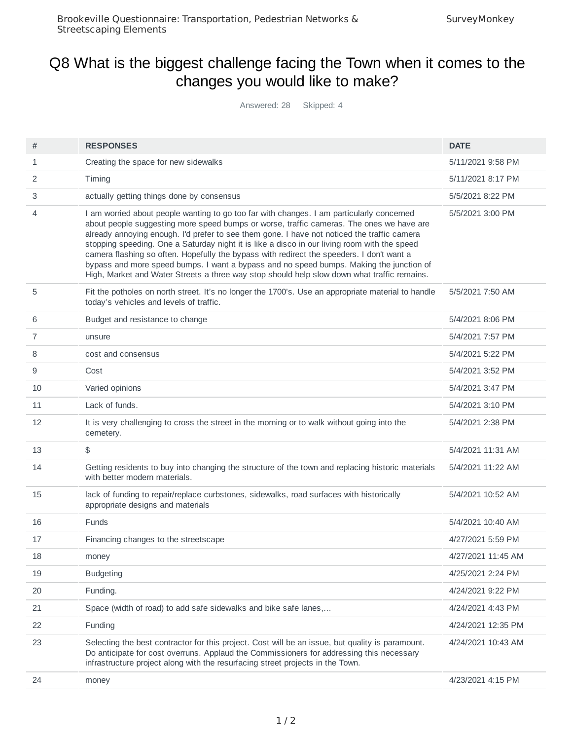# Q8 What is the biggest challenge facing the Town when it comes to the changes you would like to make?

Answered: 28 Skipped: 4

| #  | <b>RESPONSES</b>                                                                                                                                                                                                                                                                                                                                                                                                                                                                                                                                                                                                                                                            | <b>DATE</b>        |
|----|-----------------------------------------------------------------------------------------------------------------------------------------------------------------------------------------------------------------------------------------------------------------------------------------------------------------------------------------------------------------------------------------------------------------------------------------------------------------------------------------------------------------------------------------------------------------------------------------------------------------------------------------------------------------------------|--------------------|
| 1  | Creating the space for new sidewalks                                                                                                                                                                                                                                                                                                                                                                                                                                                                                                                                                                                                                                        | 5/11/2021 9:58 PM  |
| 2  | Timing                                                                                                                                                                                                                                                                                                                                                                                                                                                                                                                                                                                                                                                                      | 5/11/2021 8:17 PM  |
| 3  | actually getting things done by consensus                                                                                                                                                                                                                                                                                                                                                                                                                                                                                                                                                                                                                                   | 5/5/2021 8:22 PM   |
| 4  | I am worried about people wanting to go too far with changes. I am particularly concerned<br>about people suggesting more speed bumps or worse, traffic cameras. The ones we have are<br>already annoying enough. I'd prefer to see them gone. I have not noticed the traffic camera<br>stopping speeding. One a Saturday night it is like a disco in our living room with the speed<br>camera flashing so often. Hopefully the bypass with redirect the speeders. I don't want a<br>bypass and more speed bumps. I want a bypass and no speed bumps. Making the junction of<br>High, Market and Water Streets a three way stop should help slow down what traffic remains. | 5/5/2021 3:00 PM   |
| 5  | Fit the potholes on north street. It's no longer the 1700's. Use an appropriate material to handle<br>today's vehicles and levels of traffic.                                                                                                                                                                                                                                                                                                                                                                                                                                                                                                                               | 5/5/2021 7:50 AM   |
| 6  | Budget and resistance to change                                                                                                                                                                                                                                                                                                                                                                                                                                                                                                                                                                                                                                             | 5/4/2021 8:06 PM   |
| 7  | unsure                                                                                                                                                                                                                                                                                                                                                                                                                                                                                                                                                                                                                                                                      | 5/4/2021 7:57 PM   |
| 8  | cost and consensus                                                                                                                                                                                                                                                                                                                                                                                                                                                                                                                                                                                                                                                          | 5/4/2021 5:22 PM   |
| 9  | Cost                                                                                                                                                                                                                                                                                                                                                                                                                                                                                                                                                                                                                                                                        | 5/4/2021 3:52 PM   |
| 10 | Varied opinions                                                                                                                                                                                                                                                                                                                                                                                                                                                                                                                                                                                                                                                             | 5/4/2021 3:47 PM   |
| 11 | Lack of funds.                                                                                                                                                                                                                                                                                                                                                                                                                                                                                                                                                                                                                                                              | 5/4/2021 3:10 PM   |
| 12 | It is very challenging to cross the street in the morning or to walk without going into the<br>cemetery.                                                                                                                                                                                                                                                                                                                                                                                                                                                                                                                                                                    | 5/4/2021 2:38 PM   |
| 13 | \$                                                                                                                                                                                                                                                                                                                                                                                                                                                                                                                                                                                                                                                                          | 5/4/2021 11:31 AM  |
| 14 | Getting residents to buy into changing the structure of the town and replacing historic materials<br>with better modern materials.                                                                                                                                                                                                                                                                                                                                                                                                                                                                                                                                          | 5/4/2021 11:22 AM  |
| 15 | lack of funding to repair/replace curbstones, sidewalks, road surfaces with historically<br>appropriate designs and materials                                                                                                                                                                                                                                                                                                                                                                                                                                                                                                                                               | 5/4/2021 10:52 AM  |
| 16 | Funds                                                                                                                                                                                                                                                                                                                                                                                                                                                                                                                                                                                                                                                                       | 5/4/2021 10:40 AM  |
| 17 | Financing changes to the streetscape                                                                                                                                                                                                                                                                                                                                                                                                                                                                                                                                                                                                                                        | 4/27/2021 5:59 PM  |
| 18 | money                                                                                                                                                                                                                                                                                                                                                                                                                                                                                                                                                                                                                                                                       | 4/27/2021 11:45 AM |
| 19 | <b>Budgeting</b>                                                                                                                                                                                                                                                                                                                                                                                                                                                                                                                                                                                                                                                            | 4/25/2021 2:24 PM  |
| 20 | Funding.                                                                                                                                                                                                                                                                                                                                                                                                                                                                                                                                                                                                                                                                    | 4/24/2021 9:22 PM  |
| 21 | Space (width of road) to add safe sidewalks and bike safe lanes,                                                                                                                                                                                                                                                                                                                                                                                                                                                                                                                                                                                                            | 4/24/2021 4:43 PM  |
| 22 | Funding                                                                                                                                                                                                                                                                                                                                                                                                                                                                                                                                                                                                                                                                     | 4/24/2021 12:35 PM |
| 23 | Selecting the best contractor for this project. Cost will be an issue, but quality is paramount.<br>Do anticipate for cost overruns. Applaud the Commissioners for addressing this necessary<br>infrastructure project along with the resurfacing street projects in the Town.                                                                                                                                                                                                                                                                                                                                                                                              | 4/24/2021 10:43 AM |
| 24 | money                                                                                                                                                                                                                                                                                                                                                                                                                                                                                                                                                                                                                                                                       | 4/23/2021 4:15 PM  |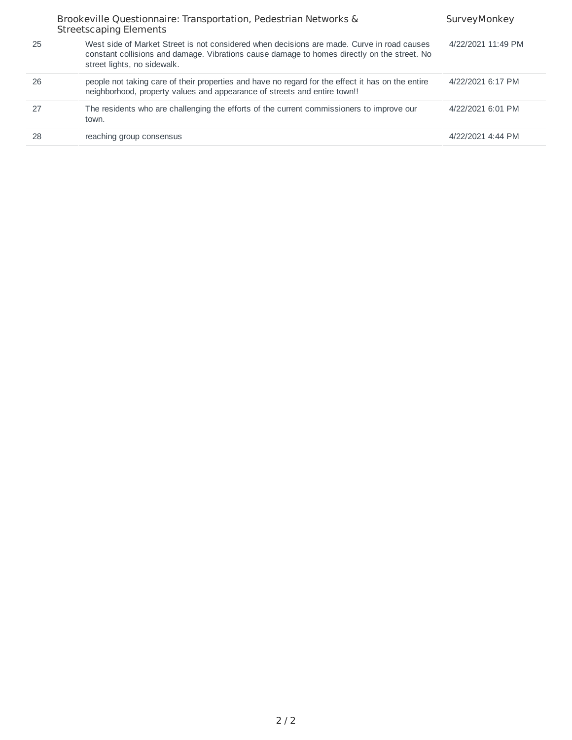|    | Brookeville Questionnaire: Transportation, Pedestrian Networks &<br><b>Streetscaping Elements</b>                                                                                                                        | SurveyMonkey       |
|----|--------------------------------------------------------------------------------------------------------------------------------------------------------------------------------------------------------------------------|--------------------|
| 25 | West side of Market Street is not considered when decisions are made. Curve in road causes<br>constant collisions and damage. Vibrations cause damage to homes directly on the street. No<br>street lights, no sidewalk. | 4/22/2021 11:49 PM |
| 26 | people not taking care of their properties and have no regard for the effect it has on the entire<br>neighborhood, property values and appearance of streets and entire town!!                                           | 4/22/2021 6:17 PM  |
| 27 | The residents who are challenging the efforts of the current commissioners to improve our<br>town.                                                                                                                       | 4/22/2021 6:01 PM  |
| 28 | reaching group consensus                                                                                                                                                                                                 | 4/22/2021 4:44 PM  |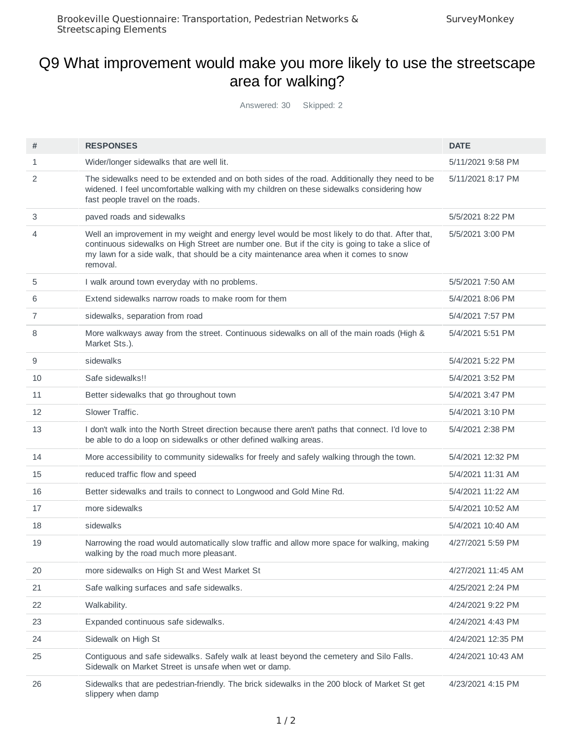### Q9 What improvement would make you more likely to use the streetscape area for walking?

Answered: 30 Skipped: 2

| #  | <b>RESPONSES</b>                                                                                                                                                                                                                                                                                       | <b>DATE</b>        |
|----|--------------------------------------------------------------------------------------------------------------------------------------------------------------------------------------------------------------------------------------------------------------------------------------------------------|--------------------|
| 1  | Wider/longer sidewalks that are well lit.                                                                                                                                                                                                                                                              | 5/11/2021 9:58 PM  |
| 2  | The sidewalks need to be extended and on both sides of the road. Additionally they need to be<br>widened. I feel uncomfortable walking with my children on these sidewalks considering how<br>fast people travel on the roads.                                                                         | 5/11/2021 8:17 PM  |
| 3  | paved roads and sidewalks                                                                                                                                                                                                                                                                              | 5/5/2021 8:22 PM   |
| 4  | Well an improvement in my weight and energy level would be most likely to do that. After that,<br>continuous sidewalks on High Street are number one. But if the city is going to take a slice of<br>my lawn for a side walk, that should be a city maintenance area when it comes to snow<br>removal. | 5/5/2021 3:00 PM   |
| 5  | I walk around town everyday with no problems.                                                                                                                                                                                                                                                          | 5/5/2021 7:50 AM   |
| 6  | Extend sidewalks narrow roads to make room for them                                                                                                                                                                                                                                                    | 5/4/2021 8:06 PM   |
| 7  | sidewalks, separation from road                                                                                                                                                                                                                                                                        | 5/4/2021 7:57 PM   |
| 8  | More walkways away from the street. Continuous sidewalks on all of the main roads (High &<br>Market Sts.).                                                                                                                                                                                             | 5/4/2021 5:51 PM   |
| 9  | sidewalks                                                                                                                                                                                                                                                                                              | 5/4/2021 5:22 PM   |
| 10 | Safe sidewalks!!                                                                                                                                                                                                                                                                                       | 5/4/2021 3:52 PM   |
| 11 | Better sidewalks that go throughout town                                                                                                                                                                                                                                                               | 5/4/2021 3:47 PM   |
| 12 | Slower Traffic.                                                                                                                                                                                                                                                                                        | 5/4/2021 3:10 PM   |
| 13 | I don't walk into the North Street direction because there aren't paths that connect. I'd love to<br>be able to do a loop on sidewalks or other defined walking areas.                                                                                                                                 | 5/4/2021 2:38 PM   |
| 14 | More accessibility to community sidewalks for freely and safely walking through the town.                                                                                                                                                                                                              | 5/4/2021 12:32 PM  |
| 15 | reduced traffic flow and speed                                                                                                                                                                                                                                                                         | 5/4/2021 11:31 AM  |
| 16 | Better sidewalks and trails to connect to Longwood and Gold Mine Rd.                                                                                                                                                                                                                                   | 5/4/2021 11:22 AM  |
| 17 | more sidewalks                                                                                                                                                                                                                                                                                         | 5/4/2021 10:52 AM  |
| 18 | sidewalks                                                                                                                                                                                                                                                                                              | 5/4/2021 10:40 AM  |
| 19 | Narrowing the road would automatically slow traffic and allow more space for walking, making<br>walking by the road much more pleasant.                                                                                                                                                                | 4/27/2021 5:59 PM  |
| 20 | more sidewalks on High St and West Market St                                                                                                                                                                                                                                                           | 4/27/2021 11:45 AM |
| 21 | Safe walking surfaces and safe sidewalks.                                                                                                                                                                                                                                                              | 4/25/2021 2:24 PM  |
| 22 | Walkability.                                                                                                                                                                                                                                                                                           | 4/24/2021 9:22 PM  |
| 23 | Expanded continuous safe sidewalks.                                                                                                                                                                                                                                                                    | 4/24/2021 4:43 PM  |
| 24 | Sidewalk on High St                                                                                                                                                                                                                                                                                    | 4/24/2021 12:35 PM |
| 25 | Contiguous and safe sidewalks. Safely walk at least beyond the cemetery and Silo Falls.<br>Sidewalk on Market Street is unsafe when wet or damp.                                                                                                                                                       | 4/24/2021 10:43 AM |
| 26 | Sidewalks that are pedestrian-friendly. The brick sidewalks in the 200 block of Market St get<br>slippery when damp                                                                                                                                                                                    | 4/23/2021 4:15 PM  |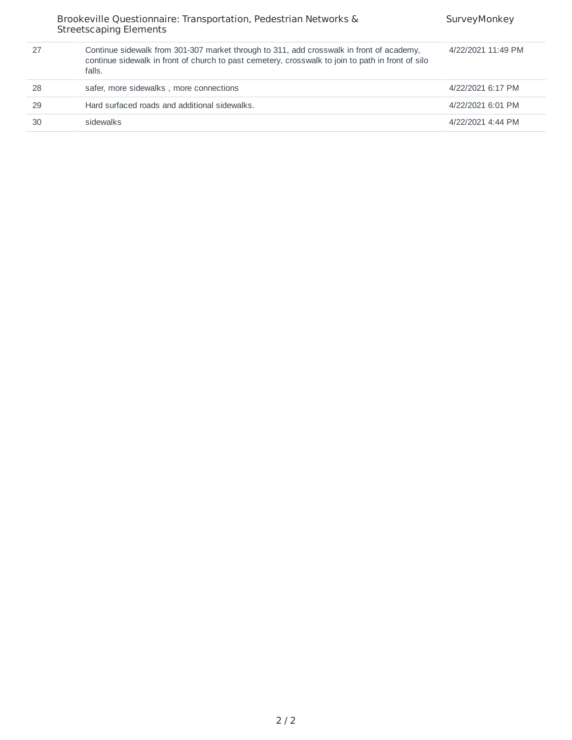|    | Brookeville Questionnaire: Transportation, Pedestrian Networks &<br><b>Streetscaping Elements</b>                                                                                                       | SurveyMonkey       |
|----|---------------------------------------------------------------------------------------------------------------------------------------------------------------------------------------------------------|--------------------|
| 27 | Continue sidewalk from 301-307 market through to 311, add crosswalk in front of academy,<br>continue sidewalk in front of church to past cemetery, crosswalk to join to path in front of silo<br>falls. | 4/22/2021 11:49 PM |
| 28 | safer, more sidewalks, more connections                                                                                                                                                                 | 4/22/2021 6:17 PM  |
| 29 | Hard surfaced roads and additional sidewalks.                                                                                                                                                           | 4/22/2021 6:01 PM  |
| 30 | sidewalks                                                                                                                                                                                               | 4/22/2021 4:44 PM  |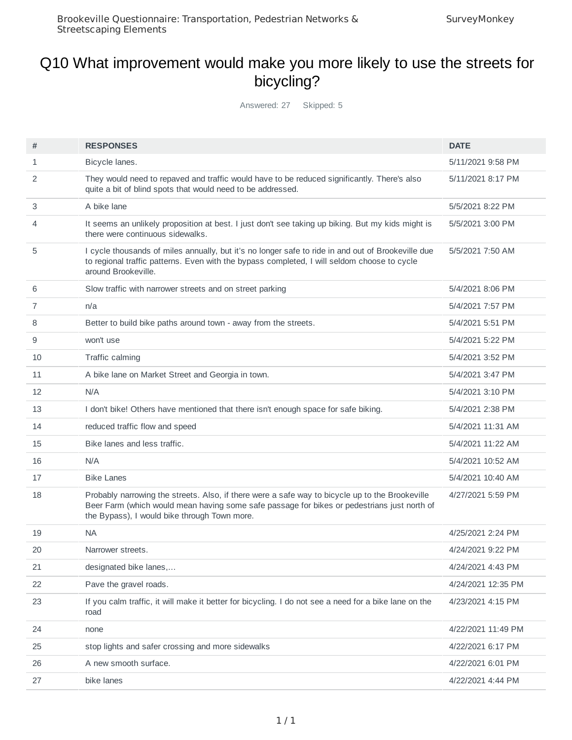### Q10 What improvement would make you more likely to use the streets for bicycling?

Answered: 27 Skipped: 5

| #  | <b>RESPONSES</b>                                                                                                                                                                                                                               | <b>DATE</b>        |
|----|------------------------------------------------------------------------------------------------------------------------------------------------------------------------------------------------------------------------------------------------|--------------------|
| 1  | Bicycle lanes.                                                                                                                                                                                                                                 | 5/11/2021 9:58 PM  |
| 2  | They would need to repaved and traffic would have to be reduced significantly. There's also<br>quite a bit of blind spots that would need to be addressed.                                                                                     | 5/11/2021 8:17 PM  |
| 3  | A bike lane                                                                                                                                                                                                                                    | 5/5/2021 8:22 PM   |
| 4  | It seems an unlikely proposition at best. I just don't see taking up biking. But my kids might is<br>there were continuous sidewalks.                                                                                                          | 5/5/2021 3:00 PM   |
| 5  | I cycle thousands of miles annually, but it's no longer safe to ride in and out of Brookeville due<br>to regional traffic patterns. Even with the bypass completed, I will seldom choose to cycle<br>around Brookeville.                       | 5/5/2021 7:50 AM   |
| 6  | Slow traffic with narrower streets and on street parking                                                                                                                                                                                       | 5/4/2021 8:06 PM   |
| 7  | n/a                                                                                                                                                                                                                                            | 5/4/2021 7:57 PM   |
| 8  | Better to build bike paths around town - away from the streets.                                                                                                                                                                                | 5/4/2021 5:51 PM   |
| 9  | won't use                                                                                                                                                                                                                                      | 5/4/2021 5:22 PM   |
| 10 | Traffic calming                                                                                                                                                                                                                                | 5/4/2021 3:52 PM   |
| 11 | A bike lane on Market Street and Georgia in town.                                                                                                                                                                                              | 5/4/2021 3:47 PM   |
| 12 | N/A                                                                                                                                                                                                                                            | 5/4/2021 3:10 PM   |
| 13 | I don't bike! Others have mentioned that there isn't enough space for safe biking.                                                                                                                                                             | 5/4/2021 2:38 PM   |
| 14 | reduced traffic flow and speed                                                                                                                                                                                                                 | 5/4/2021 11:31 AM  |
| 15 | Bike lanes and less traffic.                                                                                                                                                                                                                   | 5/4/2021 11:22 AM  |
| 16 | N/A                                                                                                                                                                                                                                            | 5/4/2021 10:52 AM  |
| 17 | <b>Bike Lanes</b>                                                                                                                                                                                                                              | 5/4/2021 10:40 AM  |
| 18 | Probably narrowing the streets. Also, if there were a safe way to bicycle up to the Brookeville<br>Beer Farm (which would mean having some safe passage for bikes or pedestrians just north of<br>the Bypass), I would bike through Town more. | 4/27/2021 5:59 PM  |
| 19 | NA                                                                                                                                                                                                                                             | 4/25/2021 2:24 PM  |
| 20 | Narrower streets.                                                                                                                                                                                                                              | 4/24/2021 9:22 PM  |
| 21 | designated bike lanes,                                                                                                                                                                                                                         | 4/24/2021 4:43 PM  |
| 22 | Pave the gravel roads.                                                                                                                                                                                                                         | 4/24/2021 12:35 PM |
| 23 | If you calm traffic, it will make it better for bicycling. I do not see a need for a bike lane on the<br>road                                                                                                                                  | 4/23/2021 4:15 PM  |
| 24 | none                                                                                                                                                                                                                                           | 4/22/2021 11:49 PM |
| 25 | stop lights and safer crossing and more sidewalks                                                                                                                                                                                              | 4/22/2021 6:17 PM  |
| 26 | A new smooth surface.                                                                                                                                                                                                                          | 4/22/2021 6:01 PM  |
| 27 | bike lanes                                                                                                                                                                                                                                     | 4/22/2021 4:44 PM  |
|    |                                                                                                                                                                                                                                                |                    |